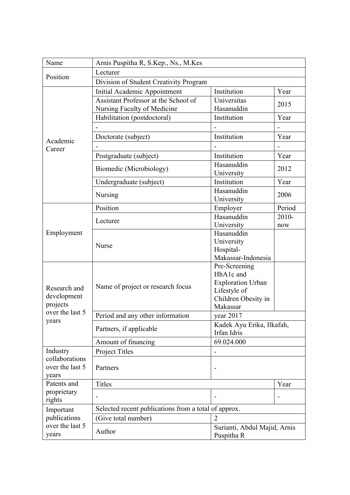| Name                                                                | Arnis Puspitha R, S.Kep., Ns., M.Kes                                |                                                                                                           |        |  |
|---------------------------------------------------------------------|---------------------------------------------------------------------|-----------------------------------------------------------------------------------------------------------|--------|--|
| Position                                                            | Lecturer                                                            |                                                                                                           |        |  |
|                                                                     | Division of Student Creativity Program                              |                                                                                                           |        |  |
| Academic<br>Career                                                  | <b>Initial Academic Appointment</b>                                 | Institution                                                                                               | Year   |  |
|                                                                     | Assistant Professor at the School of<br>Nursing Faculty of Medicine | Universitas<br>Hasanuddin                                                                                 | 2015   |  |
|                                                                     | Habilitation (postdoctoral)                                         | Institution                                                                                               | Year   |  |
|                                                                     |                                                                     |                                                                                                           |        |  |
|                                                                     | Doctorate (subject)                                                 | Institution                                                                                               | Year   |  |
|                                                                     |                                                                     |                                                                                                           |        |  |
|                                                                     | Postgraduate (subject)                                              | Institution                                                                                               | Year   |  |
|                                                                     | Biomedic (Microbiology)                                             | Hasanuddin<br>University                                                                                  | 2012   |  |
|                                                                     | Undergraduate (subject)                                             | Institution                                                                                               | Year   |  |
|                                                                     | Nursing                                                             | Hasanuddin<br>University                                                                                  | 2006   |  |
|                                                                     | Position                                                            | Employer                                                                                                  | Period |  |
|                                                                     |                                                                     | Hasanuddin                                                                                                | 2010-  |  |
|                                                                     | Lecturer                                                            | University                                                                                                | now    |  |
| Employment                                                          | <b>Nurse</b>                                                        | Hasanuddin<br>University<br>Hospital-                                                                     |        |  |
|                                                                     |                                                                     | Makassar-Indonesia                                                                                        |        |  |
| Research and<br>development<br>projects<br>over the last 5<br>years | Name of project or research focus                                   | Pre-Screening<br>HbA1c and<br><b>Exploration Urban</b><br>Lifestyle of<br>Children Obesity in<br>Makassar |        |  |
|                                                                     | Period and any other information                                    | year $2017$                                                                                               |        |  |
|                                                                     | Partners, if applicable                                             | Kadek Ayu Erika, Ilkafah,<br>Irfan Idris                                                                  |        |  |
|                                                                     | Amount of financing                                                 | 69.024.000                                                                                                |        |  |
| Industry<br>collaborations<br>over the last 5<br>years              | Project Titles                                                      |                                                                                                           |        |  |
|                                                                     | Partners                                                            |                                                                                                           |        |  |
| Patents and                                                         | <b>Titles</b>                                                       |                                                                                                           | Year   |  |
| proprietary<br>rights                                               |                                                                     |                                                                                                           |        |  |
| Important<br>publications<br>over the last 5<br>years               | Selected recent publications from a total of approx.                |                                                                                                           |        |  |
|                                                                     | (Give total number)                                                 | $\overline{2}$                                                                                            |        |  |
|                                                                     | Author                                                              | Surianti, Abdul Majid, Arnis<br>Puspitha R                                                                |        |  |